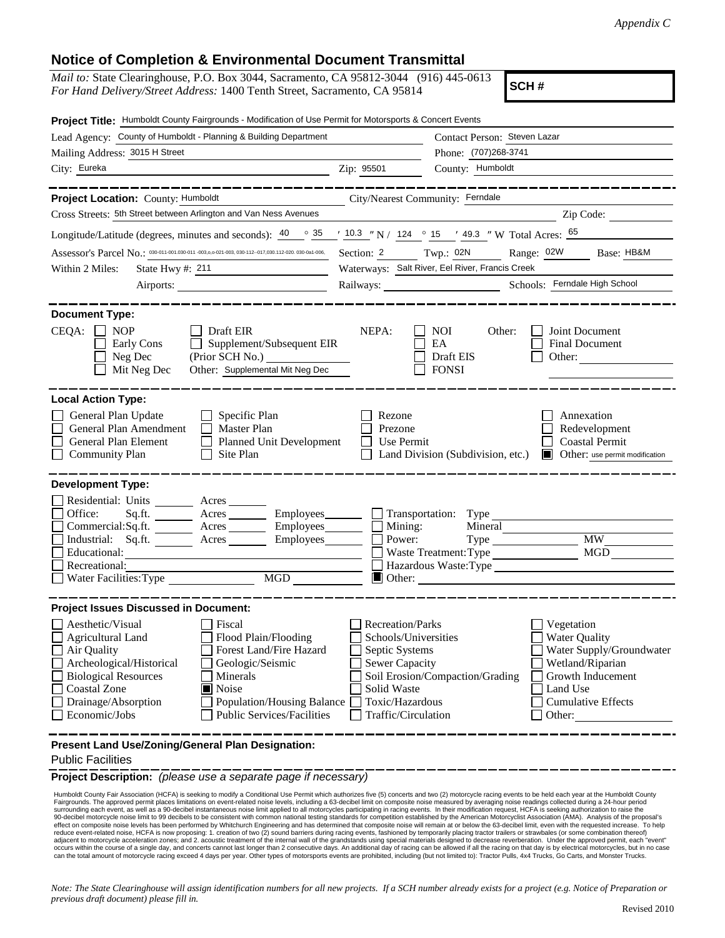## **Notice of Completion & Environmental Document Transmittal**

| <i>Mail to:</i> State Clearinghouse, P.O. Box 3044, Sacramento, CA 95812-3044 (916) 445-0613<br><i>For Hand Delivery/Street Address:</i> 1400 Tenth Street, Sacramento, CA 95814 | SCH# |
|----------------------------------------------------------------------------------------------------------------------------------------------------------------------------------|------|
| Project Title: Humboldt County Fairgrounds - Modification of Use Permit for Motorsports & Concert Events                                                                         |      |

| Lead Agency: County of Humboldt - Planning & Building Department                                                                                                                                                                                                                                                                                                                                    |                                                                                                                                  | Contact Person: Steven Lazar                                                                                                                                                                                        |  |
|-----------------------------------------------------------------------------------------------------------------------------------------------------------------------------------------------------------------------------------------------------------------------------------------------------------------------------------------------------------------------------------------------------|----------------------------------------------------------------------------------------------------------------------------------|---------------------------------------------------------------------------------------------------------------------------------------------------------------------------------------------------------------------|--|
| Mailing Address: 3015 H Street                                                                                                                                                                                                                                                                                                                                                                      |                                                                                                                                  | Phone: (707)268-3741                                                                                                                                                                                                |  |
| City: Eureka                                                                                                                                                                                                                                                                                                                                                                                        | Zip: 95501                                                                                                                       | County: Humboldt                                                                                                                                                                                                    |  |
| Project Location: County: Humboldt                                                                                                                                                                                                                                                                                                                                                                  | City/Nearest Community: Ferndale                                                                                                 |                                                                                                                                                                                                                     |  |
| Cross Streets: 5th Street between Arlington and Van Ness Avenues                                                                                                                                                                                                                                                                                                                                    |                                                                                                                                  | Zip Code:                                                                                                                                                                                                           |  |
| Longitude/Latitude (degrees, minutes and seconds): $\frac{40}{9}$ $\frac{35}{10.3}$ $\frac{10.3}{10.3}$ $\frac{10.3}{10.3}$ $\frac{10.3}{10.3}$ $\frac{10.3}{10.3}$ $\frac{10.3}{10.3}$ $\frac{10.3}{10.3}$ $\frac{10.3}{10.3}$ $\frac{10.3}{10.3}$ $\frac{10.3}{10.3}$ $\$                                                                                                                         |                                                                                                                                  |                                                                                                                                                                                                                     |  |
| Assessor's Parcel No.: 030-011-001.030-011 -003,0,0-021-003, 030-112-017,030.112-020.030-0a1-006,                                                                                                                                                                                                                                                                                                   |                                                                                                                                  | Base: HB&M                                                                                                                                                                                                          |  |
| Within 2 Miles:<br>State Hwy #: 211                                                                                                                                                                                                                                                                                                                                                                 | Section: 2 Twp.: 02N Range: 02W<br>Waterways: Salt River, Eel River, Francis Creek                                               |                                                                                                                                                                                                                     |  |
| Airports:                                                                                                                                                                                                                                                                                                                                                                                           | Schools: Ferndale High School                                                                                                    |                                                                                                                                                                                                                     |  |
|                                                                                                                                                                                                                                                                                                                                                                                                     |                                                                                                                                  |                                                                                                                                                                                                                     |  |
| <b>Document Type:</b><br>$CEQA: \Box NP$<br>$\Box$ Draft EIR<br>$\Box$ Supplement/Subsequent EIR<br>Early Cons<br>Neg Dec<br>(Prior SCH No.)<br>Other: Supplemental Mit Neg Dec<br>Mit Neg Dec                                                                                                                                                                                                      | NEPA:                                                                                                                            | NOI<br>Joint Document<br>Other:<br>EA<br><b>Final Document</b><br>Draft EIS<br>Other:<br><b>FONSI</b>                                                                                                               |  |
| <b>Local Action Type:</b><br>General Plan Update<br>$\Box$ Specific Plan<br>General Plan Amendment<br>$\Box$ Master Plan<br>Г<br>General Plan Element<br>Planned Unit Development<br><b>Community Plan</b><br>$\Box$ Site Plan                                                                                                                                                                      | Rezone<br>Prezone<br>П<br>Use Permit                                                                                             | Annexation<br>Redevelopment<br><b>Coastal Permit</b><br>Land Division (Subdivision, etc.) <b>C</b> Other: use permit modification                                                                                   |  |
| <b>Development Type:</b>                                                                                                                                                                                                                                                                                                                                                                            |                                                                                                                                  |                                                                                                                                                                                                                     |  |
| Residential: Units ________ Acres _______<br>Office:<br>Sq.ft. ________ Acres _________ Employees________ ___ Transportation: Type<br>Commercial:Sq.ft. Kres Kres Employees Mining:<br>Industrial: Sq.ft. ________ Acres _________ Employees ________ ___ Power:<br>Educational:<br>Recreational:                                                                                                   |                                                                                                                                  | Mineral<br>$Type \_$<br><b>MW</b><br>Waste Treatment: Type MGD<br>Hazardous Waste:Type<br>$\Box$ Other:                                                                                                             |  |
| <b>Project Issues Discussed in Document:</b>                                                                                                                                                                                                                                                                                                                                                        |                                                                                                                                  |                                                                                                                                                                                                                     |  |
| Aesthetic/Visual<br>  Fiscal<br>$\mathsf{L}$<br><b>Agricultural Land</b><br>Flood Plain/Flooding<br>Air Quality<br>Forest Land/Fire Hazard<br>Archeological/Historical<br>Geologic/Seismic<br><b>Biological Resources</b><br>Minerals<br>Coastal Zone<br>$\blacksquare$ Noise<br>Drainage/Absorption<br>Population/Housing Balance □ Toxic/Hazardous<br>Economic/Jobs<br>Public Services/Facilities | <b>Recreation/Parks</b><br>Schools/Universities<br>Septic Systems<br><b>Sewer Capacity</b><br>Solid Waste<br>Traffic/Circulation | $\Box$ Vegetation<br><b>Water Quality</b><br>Water Supply/Groundwater<br>Wetland/Riparian<br>Soil Erosion/Compaction/Grading<br><b>Growth Inducement</b><br>Land Use<br><b>Cumulative Effects</b><br>$\vert$ Other: |  |

**Present Land Use/Zoning/General Plan Designation:**

Public Facilities

**Project Description:** *(please use a separate page if necessary)*

 Humboldt County Fair Association (HCFA) is seeking to modify a Conditional Use Permit which authorizes five (5) concerts and two (2) motorcycle racing events to be held each year at the Humboldt County Fairgrounds. The approved permit places limitations on event-related noise levels, including a 63-decibel limit on composite noise measured by averaging noise readings collected during a 24-hour period<br>surrounding each eve 90-decibel motorcycle noise limit to 99 decibels to be consistent with common national testing standards for competition established by the American Motorcyclist Association (AMA). Analysis of the proposal's<br>effect on comp reduce event-related noise, HCFA is now proposing: 1. creation of two (2) sound barriers during racing events, fashioned by temporarily placing tractor trailers or strawbales (or some combination thereof) adjacent to motorcycle acceleration zones; and 2. acoustic treatment of the internal wall of the grandstands using special materials designed to decrease reverberation. Under the approved permit, each "event"<br>occurs within can the total amount of motorcycle racing exceed 4 days per year. Other types of motorsports events are prohibited, including (but not limited to): Tractor Pulls, 4x4 Trucks, Go Carts, and Monster Trucks.

*Note: The State Clearinghouse will assign identification numbers for all new projects. If a SCH number already exists for a project (e.g. Notice of Preparation or previous draft document) please fill in.*